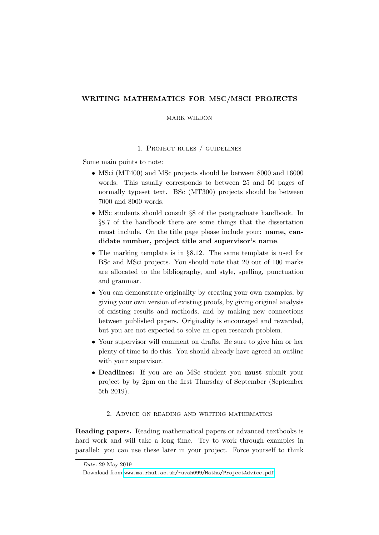# WRITING MATHEMATICS FOR MSC/MSCI PROJECTS

#### MARK WILDON

### 1. Project rules / guidelines

Some main points to note:

- MSci (MT400) and MSc projects should be between 8000 and 16000 words. This usually corresponds to between 25 and 50 pages of normally typeset text. BSc (MT300) projects should be between 7000 and 8000 words.
- MSc students should consult §8 of the postgraduate handbook. In §8.7 of the handbook there are some things that the dissertation must include. On the title page please include your: name, candidate number, project title and supervisor's name.
- The marking template is in §8.12. The same template is used for BSc and MSci projects. You should note that 20 out of 100 marks are allocated to the bibliography, and style, spelling, punctuation and grammar.
- You can demonstrate originality by creating your own examples, by giving your own version of existing proofs, by giving original analysis of existing results and methods, and by making new connections between published papers. Originality is encouraged and rewarded, but you are not expected to solve an open research problem.
- Your supervisor will comment on drafts. Be sure to give him or her plenty of time to do this. You should already have agreed an outline with your supervisor.
- Deadlines: If you are an MSc student you must submit your project by by 2pm on the first Thursday of September (September 5th 2019).

## 2. Advice on reading and writing mathematics

Reading papers. Reading mathematical papers or advanced textbooks is hard work and will take a long time. Try to work through examples in parallel: you can use these later in your project. Force yourself to think

Date: 29 May 2019

Download from <www.ma.rhul.ac.uk/~uvah099/Maths/ProjectAdvice.pdf>.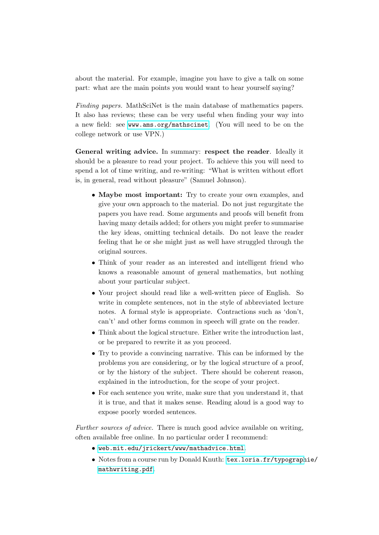about the material. For example, imagine you have to give a talk on some part: what are the main points you would want to hear yourself saying?

Finding papers. MathSciNet is the main database of mathematics papers. It also has reviews; these can be very useful when finding your way into a new field: see <www.ams.org/mathscinet>. (You will need to be on the college network or use VPN.)

General writing advice. In summary: respect the reader. Ideally it should be a pleasure to read your project. To achieve this you will need to spend a lot of time writing, and re-writing: "What is written without effort is, in general, read without pleasure" (Samuel Johnson).

- Maybe most important: Try to create your own examples, and give your own approach to the material. Do not just regurgitate the papers you have read. Some arguments and proofs will benefit from having many details added; for others you might prefer to summarise the key ideas, omitting technical details. Do not leave the reader feeling that he or she might just as well have struggled through the original sources.
- Think of your reader as an interested and intelligent friend who knows a reasonable amount of general mathematics, but nothing about your particular subject.
- Your project should read like a well-written piece of English. So write in complete sentences, not in the style of abbreviated lecture notes. A formal style is appropriate. Contractions such as 'don't, can't' and other forms common in speech will grate on the reader.
- Think about the logical structure. Either write the introduction last, or be prepared to rewrite it as you proceed.
- Try to provide a convincing narrative. This can be informed by the problems you are considering, or by the logical structure of a proof, or by the history of the subject. There should be coherent reason, explained in the introduction, for the scope of your project.
- For each sentence you write, make sure that you understand it, that it is true, and that it makes sense. Reading aloud is a good way to expose poorly worded sentences.

Further sources of advice. There is much good advice available on writing, often available free online. In no particular order I recommend:

- <web.mit.edu/jrickert/www/mathadvice.html>.
- Notes from a course run by Donald Knuth: [tex.loria.fr/typograph](tex.loria.fr/typographie/mathwriting.pdf)ie/ [mathwriting.pdf](tex.loria.fr/typographie/mathwriting.pdf).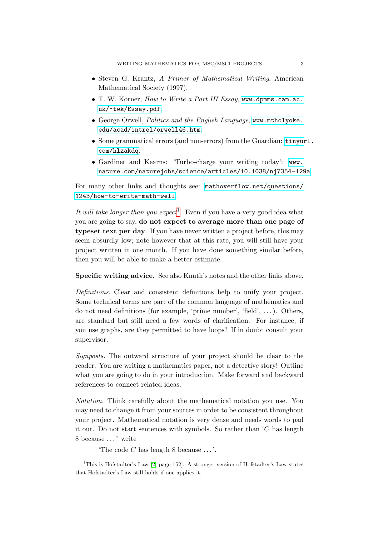- Steven G. Krantz, A Primer of Mathematical Writing, American Mathematical Society (1997).
- $\bullet$  T. W. Körner, How to Write a Part III Essay, [www.dpmms.cam.ac.](www.dpmms.cam.ac.uk/~twk/Essay.pdf) [uk/~twk/Essay.pdf](www.dpmms.cam.ac.uk/~twk/Essay.pdf).
- George Orwell, Politics and the English Language, [www.mtholyoke.](www.mtholyoke.edu/acad/intrel/orwell46.htm) [edu/acad/intrel/orwell46.htm](www.mtholyoke.edu/acad/intrel/orwell46.htm).
- Some grammatical errors (and non-errors) from the Guardian: [tinyur](tinyurl.com/hlzakdq)l. [com/hlzakdq](tinyurl.com/hlzakdq).
- Gardiner and Kearns: 'Turbo-charge your writing today': [www.](www.nature.com/naturejobs/science/articles/10.1038/nj7354-129a) [nature.com/naturejobs/science/articles/10.1038/nj7354-129a](www.nature.com/naturejobs/science/articles/10.1038/nj7354-129a)

For many other links and thoughts see: [mathoverflow.net/questions/](mathoverflow.net/questions/1243/how-to-write-math-well) [1243/how-to-write-math-well](mathoverflow.net/questions/1243/how-to-write-math-well).

It will take longer than you expect<sup>[1](#page-2-0)</sup>. Even if you have a very good idea what you are going to say, do not expect to average more than one page of typeset text per day. If you have never written a project before, this may seem absurdly low; note however that at this rate, you will still have your project written in one month. If you have done something similar before, then you will be able to make a better estimate.

Specific writing advice. See also Knuth's notes and the other links above.

Definitions. Clear and consistent definitions help to unify your project. Some technical terms are part of the common language of mathematics and do not need definitions (for example, 'prime number', 'field', ...). Others, are standard but still need a few words of clarification. For instance, if you use graphs, are they permitted to have loops? If in doubt consult your supervisor.

Signposts. The outward structure of your project should be clear to the reader. You are writing a mathematics paper, not a detective story! Outline what you are going to do in your introduction. Make forward and backward references to connect related ideas.

Notation. Think carefully about the mathematical notation you use. You may need to change it from your sources in order to be consistent throughout your project. Mathematical notation is very dense and needs words to pad it out. Do not start sentences with symbols. So rather than  ${}^{\circ}C$  has length 8 because . . . ' write

'The code  $C$  has length 8 because  $\dots$ '.

<span id="page-2-0"></span><sup>&</sup>lt;sup>1</sup>This is Hofstadter's Law  $[2, \text{ page } 152]$  $[2, \text{ page } 152]$ . A stronger version of Hofstadter's Law states that Hofstadter's Law still holds if one applies it.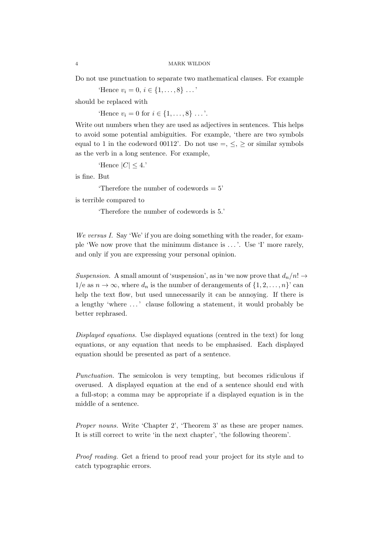Do not use punctuation to separate two mathematical clauses. For example

'Hence  $v_i = 0, i \in \{1, ..., 8\} \dots$ '

should be replaced with

'Hence  $v_i = 0$  for  $i \in \{1, ..., 8\}$ ...'.

Write out numbers when they are used as adjectives in sentences. This helps to avoid some potential ambiguities. For example, 'there are two symbols equal to 1 in the codeword 00112'. Do not use  $=, \leq, \geq$  or similar symbols as the verb in a long sentence. For example,

'Hence  $|C| \leq 4$ .'

is fine. But

'Therefore the number of codewords = 5'

is terrible compared to

'Therefore the number of codewords is 5.'

We versus I. Say 'We' if you are doing something with the reader, for example 'We now prove that the minimum distance is . . . '. Use 'I' more rarely, and only if you are expressing your personal opinion.

Suspension. A small amount of 'suspension', as in 'we now prove that  $d_n/n! \rightarrow$  $1/e$  as  $n \to \infty$ , where  $d_n$  is the number of derangements of  $\{1, 2, ..., n\}$  can help the text flow, but used unnecessarily it can be annoying. If there is a lengthy 'where . . . ' clause following a statement, it would probably be better rephrased.

Displayed equations. Use displayed equations (centred in the text) for long equations, or any equation that needs to be emphasised. Each displayed equation should be presented as part of a sentence.

Punctuation. The semicolon is very tempting, but becomes ridiculous if overused. A displayed equation at the end of a sentence should end with a full-stop; a comma may be appropriate if a displayed equation is in the middle of a sentence.

Proper nouns. Write 'Chapter 2', 'Theorem 3' as these are proper names. It is still correct to write 'in the next chapter', 'the following theorem'.

Proof reading. Get a friend to proof read your project for its style and to catch typographic errors.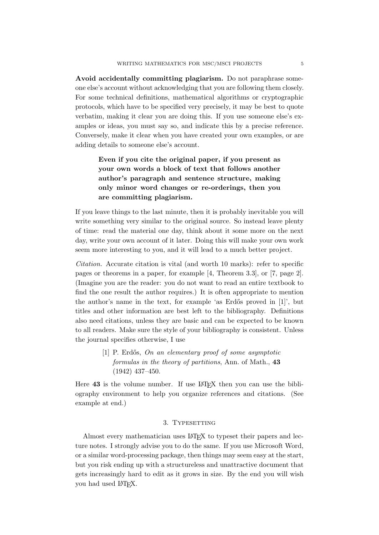Avoid accidentally committing plagiarism. Do not paraphrase someone else's account without acknowledging that you are following them closely. For some technical definitions, mathematical algorithms or cryptographic protocols, which have to be specified very precisely, it may be best to quote verbatim, making it clear you are doing this. If you use someone else's examples or ideas, you must say so, and indicate this by a precise reference. Conversely, make it clear when you have created your own examples, or are adding details to someone else's account.

> Even if you cite the original paper, if you present as your own words a block of text that follows another author's paragraph and sentence structure, making only minor word changes or re-orderings, then you are committing plagiarism.

If you leave things to the last minute, then it is probably inevitable you will write something very similar to the original source. So instead leave plenty of time: read the material one day, think about it some more on the next day, write your own account of it later. Doing this will make your own work seem more interesting to you, and it will lead to a much better project.

Citation. Accurate citation is vital (and worth 10 marks): refer to specific pages or theorems in a paper, for example [4, Theorem 3.3], or [7, page 2]. (Imagine you are the reader: you do not want to read an entire textbook to find the one result the author requires.) It is often appropriate to mention the author's name in the text, for example 'as Erdős proved in  $[1]$ ', but titles and other information are best left to the bibliography. Definitions also need citations, unless they are basic and can be expected to be known to all readers. Make sure the style of your bibliography is consistent. Unless the journal specifies otherwise, I use

> [1] P. Erdős, On an elementary proof of some asymptotic formulas in the theory of partitions, Ann. of Math., 43 (1942) 437–450.

Here  $43$  is the volume number. If use  $\mathbb{A}T_F\chi$  then you can use the bibliography environment to help you organize references and citations. (See example at end.)

#### 3. TYPESETTING

Almost every mathematician uses LAT<sub>EX</sub> to typeset their papers and lecture notes. I strongly advise you to do the same. If you use Microsoft Word, or a similar word-processing package, then things may seem easy at the start, but you risk ending up with a structureless and unattractive document that gets increasingly hard to edit as it grows in size. By the end you will wish you had used LATEX.